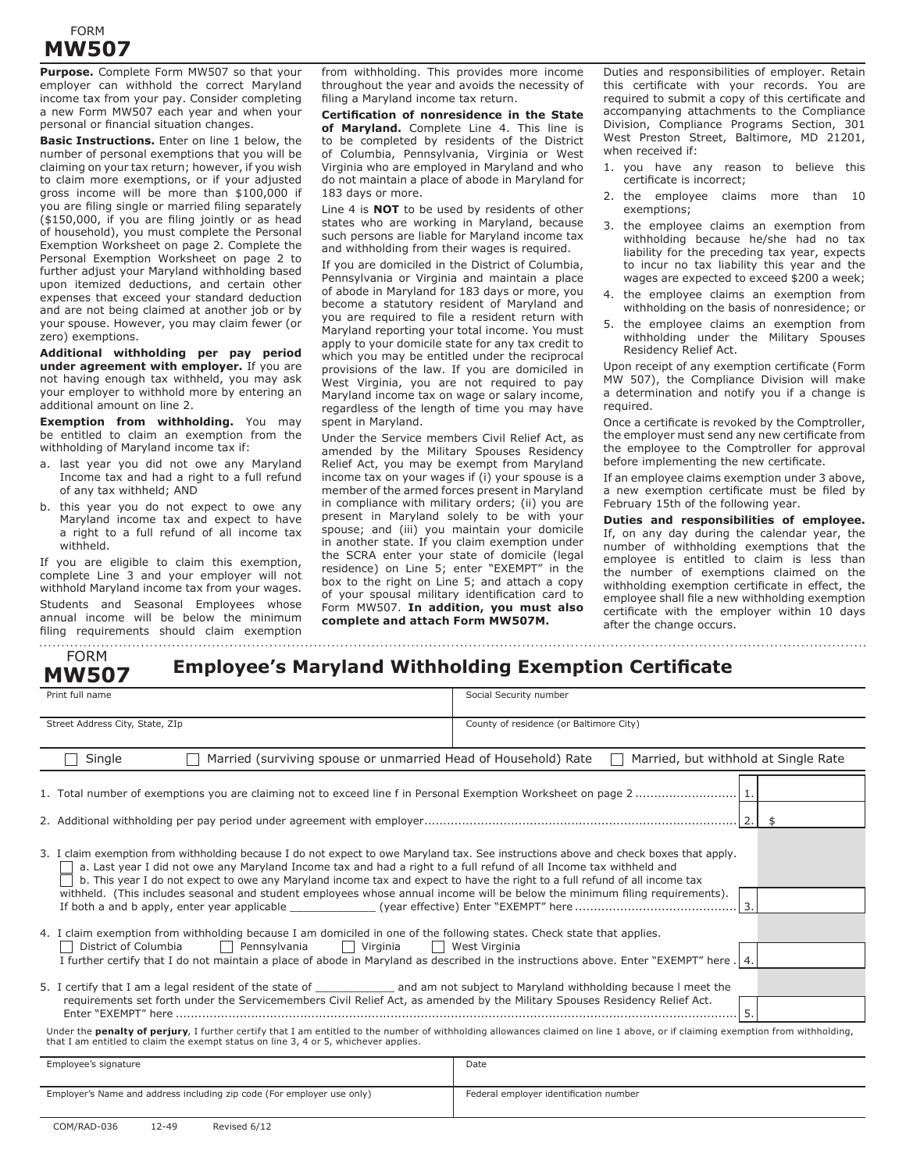## FORM **MW507**

**Purpose.** Complete Form MW507 so that your employer can withhold the correct Maryland income tax from your pay. Consider completing a new Form MW507 each year and when your personal or financial situation changes.

**Basic Instructions.** Enter on line 1 below, the number of personal exemptions that you will be claiming on your tax return; however, if you wish to claim more exemptions, or if your adjusted gross income will be more than \$100,000 if you are filing single or married filing separately  $($ \$150,000, if you are filing jointly or as head of household), you must complete the Personal Exemption Worksheet on page 2. Complete the Personal Exemption Worksheet on page 2 to further adjust your Maryland withholding based upon itemized deductions, and certain other expenses that exceed your standard deduction and are not being claimed at another job or by your spouse. However, you may claim fewer (or zero) exemptions.

**Additional withholding per pay period under agreement with employer.** If you are not having enough tax withheld, you may ask your employer to withhold more by entering an additional amount on line 2.

**Exemption from withholding.** You may be entitled to claim an exemption from the withholding of Maryland income tax if:

- a. last year you did not owe any Maryland Income tax and had a right to a full refund of any tax withheld; AND
- b. this year you do not expect to owe any Maryland income tax and expect to have a right to a full refund of all income tax withheld.

If you are eligible to claim this exemption, complete Line 3 and your employer will not withhold Maryland income tax from your wages. Students and Seasonal Employees whose annual income will be below the minimum filing requirements should claim exemption

from withholding. This provides more income throughout the year and avoids the necessity of filing a Maryland income tax return.

**Certification of nonresidence in the State of Maryland.** Complete Line 4. This line is to be completed by residents of the District of Columbia, Pennsylvania, Virginia or West Virginia who are employed in Maryland and who do not maintain a place of abode in Maryland for 183 days or more.

Line 4 is **NOT** to be used by residents of other states who are working in Maryland, because such persons are liable for Maryland income tax and withholding from their wages is required.

If you are domiciled in the District of Columbia, Pennsylvania or Virginia and maintain a place of abode in Maryland for 183 days or more, you become a statutory resident of Maryland and you are required to file a resident return with Maryland reporting your total income. You must apply to your domicile state for any tax credit to which you may be entitled under the reciprocal provisions of the law. If you are domiciled in West Virginia, you are not required to pay Maryland income tax on wage or salary income, regardless of the length of time you may have spent in Maryland.

Under the Service members Civil Relief Act, as amended by the Military Spouses Residency Relief Act, you may be exempt from Maryland income tax on your wages if (i) your spouse is a member of the armed forces present in Maryland in compliance with military orders; (ii) you are present in Maryland solely to be with your spouse; and (iii) you maintain your domicile in another state. If you claim exemption under the SCRA enter your state of domicile (legal residence) on Line 5; enter "EXEMPT" in the box to the right on Line 5; and attach a copy of your spousal military identification card to Form MW507. **In addition, you must also complete and attach Form MW507M.**

Duties and responsibilities of employer. Retain this certificate with your records. You are required to submit a copy of this certificate and accompanying attachments to the Compliance Division, Compliance Programs Section, 301 West Preston Street, Baltimore, MD 21201, when received if:

- 1. you have any reason to believe this certificate is incorrect;
- 2. the employee claims more than 10 exemptions;
- 3. the employee claims an exemption from withholding because he/she had no tax liability for the preceding tax year, expects to incur no tax liability this year and the wages are expected to exceed \$200 a week;
- 4. the employee claims an exemption from withholding on the basis of nonresidence; or
- 5. the employee claims an exemption from withholding under the Military Spouses Residency Relief Act.

Upon receipt of any exemption certificate (Form MW 507), the Compliance Division will make a determination and notify you if a change is required.

Once a certificate is revoked by the Comptroller, the employer must send any new certificate from the employee to the Comptroller for approval before implementing the new certificate.

If an employee claims exemption under 3 above, a new exemption certificate must be filed by February 15th of the following year.

**Duties and responsibilities of employee.** If, on any day during the calendar year, the number of withholding exemptions that the employee is entitled to claim is less than the number of exemptions claimed on the withholding exemption certificate in effect, the employee shall file a new withholding exemption certificate with the employer within 10 days after the change occurs.

| <b>FORM</b> |              |  |  |  |  |  |  |
|-------------|--------------|--|--|--|--|--|--|
|             | <b>MW507</b> |  |  |  |  |  |  |

**Employee's Maryland Withholding Exemption Certificate**

| Print full name                                                                                                                                                                                                                                                                                                                                                                                                                                                                                                           | Social Security number                  |  |  |  |  |  |
|---------------------------------------------------------------------------------------------------------------------------------------------------------------------------------------------------------------------------------------------------------------------------------------------------------------------------------------------------------------------------------------------------------------------------------------------------------------------------------------------------------------------------|-----------------------------------------|--|--|--|--|--|
| Street Address City, State, ZIp                                                                                                                                                                                                                                                                                                                                                                                                                                                                                           | County of residence (or Baltimore City) |  |  |  |  |  |
| Married (surviving spouse or unmarried Head of Household) Rate<br>Single                                                                                                                                                                                                                                                                                                                                                                                                                                                  | Married, but withhold at Single Rate    |  |  |  |  |  |
|                                                                                                                                                                                                                                                                                                                                                                                                                                                                                                                           |                                         |  |  |  |  |  |
| 3. I claim exemption from withholding because I do not expect to owe Maryland tax. See instructions above and check boxes that apply.<br>a. Last year I did not owe any Maryland Income tax and had a right to a full refund of all Income tax withheld and<br>b. This year I do not expect to owe any Maryland income tax and expect to have the right to a full refund of all income tax<br>withheld. (This includes seasonal and student employees whose annual income will be below the minimum filing requirements). |                                         |  |  |  |  |  |
| 4. I claim exemption from withholding because I am domiciled in one of the following states. Check state that applies.<br>District of Columbia<br>Pennsylvania<br>Virginia<br>West Virginia<br>I further certify that I do not maintain a place of abode in Maryland as described in the instructions above. Enter "EXEMPT" here. 4.                                                                                                                                                                                      |                                         |  |  |  |  |  |
| requirements set forth under the Servicemembers Civil Relief Act, as amended by the Military Spouses Residency Relief Act.<br>5.                                                                                                                                                                                                                                                                                                                                                                                          |                                         |  |  |  |  |  |
| Under the <b>penalty of perjury</b> , I further certify that I am entitled to the number of withholding allowances claimed on line 1 above, or if claiming exemption from withholding,<br>that I am entitled to claim the exempt status on line 3, 4 or 5, whichever applies.                                                                                                                                                                                                                                             |                                         |  |  |  |  |  |
| Employee's signature                                                                                                                                                                                                                                                                                                                                                                                                                                                                                                      | Date                                    |  |  |  |  |  |
| Employer's Name and address including zip code (For employer use only)                                                                                                                                                                                                                                                                                                                                                                                                                                                    | Federal employer identification number  |  |  |  |  |  |